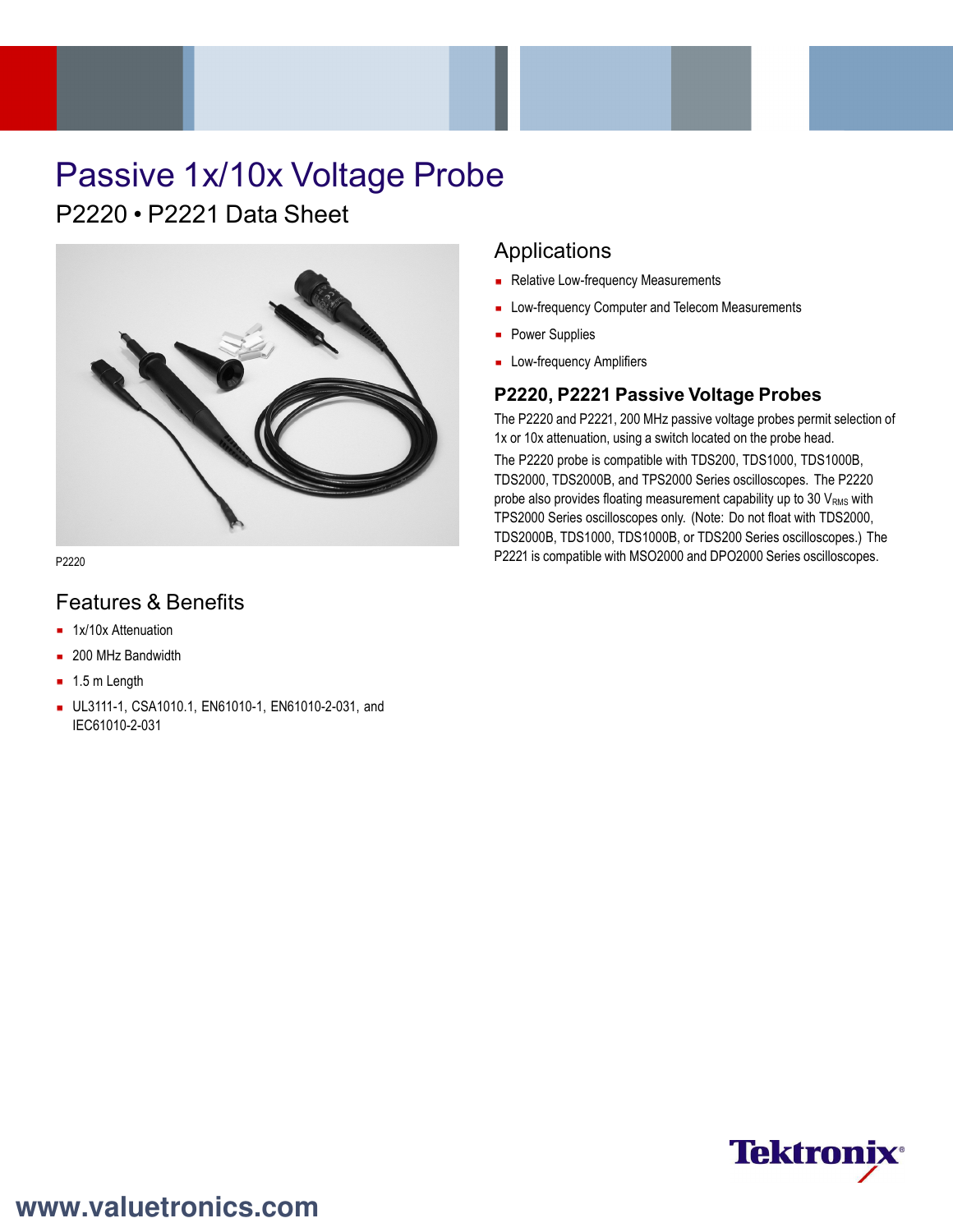# Passive 1x/10x Voltage Probe

 $P2220 \cdot P2221$  Data Sheet



P2220

## Features & Benefits

- **1x/10x Attenuation**
- 200 MHz Bandwidth
- $-1.5$  m Length
- UL3111-1, CSA1010.1, EN61010-1, EN61010-2-031, and IEC61010-2-031

### Applications

- Relative Low-frequency Measurements
- **Low-frequency Computer and Telecom Measurements**
- **Power Supplies**
- **Low-frequency Amplifiers**

### **P2220, P2221 Passive Voltage Probes**

The P2220 and P2221, 200 MHz passive voltage probes permit selection of 1x or 10x attenuation, using a switch located on the probe head. The P2220 probe is compatible with TDS200, TDS1000, TDS1000B, TDS2000, TDS2000B, and TPS2000 Series oscilloscopes. The P2220 probe also provides floating measurement capability up to 30  $V<sub>RMS</sub>$  with TPS2000 Series oscilloscopes only. (Note: Do not float with TDS2000, TDS2000B, TDS1000, TDS1000B, or TDS200 Series oscilloscopes.) The P2221 is compatible with MSO2000 and DPO2000 Series oscilloscopes.